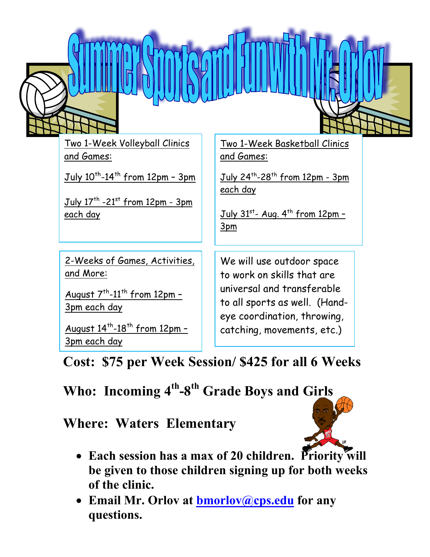

Two 1-Week Volleyball Clinics and Games:

July  $10^{th}$ -14<sup>th</sup> from 12pm - 3pm

 $July 17<sup>th</sup> -21<sup>st</sup> from 12pm - 3pm$ each day

2-Weeks of Games, Activities, and More:

August  $7<sup>th</sup> - 11<sup>th</sup>$  from 12pm -3pm each day

August  $14^{th}$ - $18^{th}$  from  $12 \text{pm}$  -3pm each day

Two 1-Week Basketball Clinics and Games:

July  $24^{th}$ -28<sup>th</sup> from 12pm - 3pm each day

July  $31^{st}$ - Aug.  $4^{th}$  from 12pm -3pm

We will use outdoor space to work on skills that are universal and transferable to all sports as well. (Handeye coordination, throwing, catching, movements, etc.)

**Cost: \$75 per Week Session/ \$425 for all 6 Weeks**

## **Who: Incoming 4th-8th Grade Boys and Girls**

**Where: Waters Elementary**



- Each session has a max of 20 children. Priority will **be given to those children signing up for both weeks of the clinic.**
- **Email Mr. Orlov at bmorlov@cps.edu for any questions.**